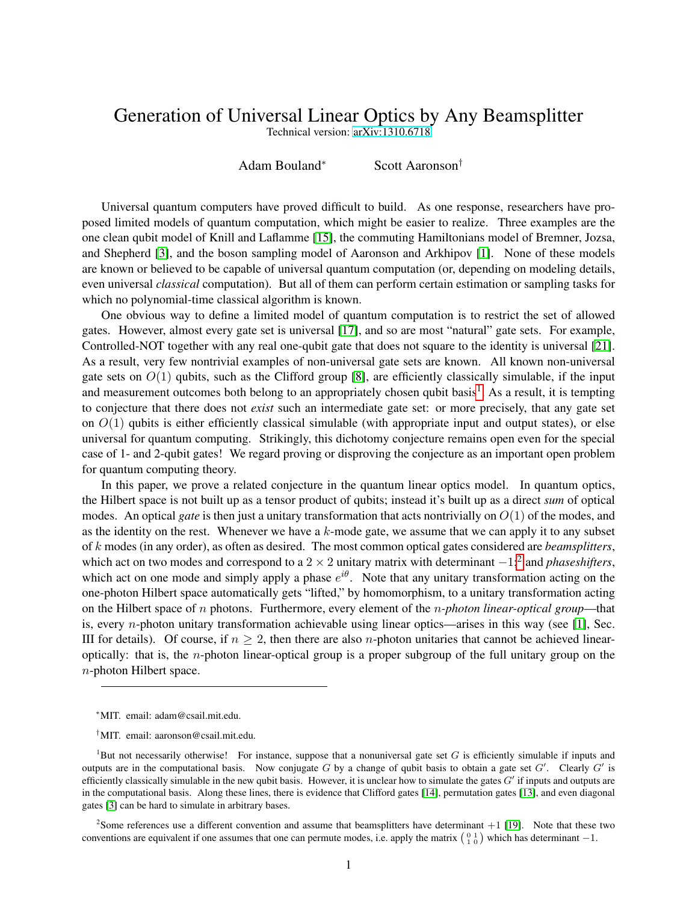## Generation of Universal Linear Optics by Any Beamsplitter

Technical version: [arXiv:1310.6718](http://arxiv.org/abs/1310.6718)

Adam Bouland<sup>∗</sup> Scott Aaronson†

Universal quantum computers have proved difficult to build. As one response, researchers have proposed limited models of quantum computation, which might be easier to realize. Three examples are the one clean qubit model of Knill and Laflamme [\[15\]](#page-3-0), the commuting Hamiltonians model of Bremner, Jozsa, and Shepherd [\[3\]](#page-3-1), and the boson sampling model of Aaronson and Arkhipov [\[1\]](#page-2-0). None of these models are known or believed to be capable of universal quantum computation (or, depending on modeling details, even universal *classical* computation). But all of them can perform certain estimation or sampling tasks for which no polynomial-time classical algorithm is known.

One obvious way to define a limited model of quantum computation is to restrict the set of allowed gates. However, almost every gate set is universal [\[17\]](#page-3-2), and so are most "natural" gate sets. For example, Controlled-NOT together with any real one-qubit gate that does not square to the identity is universal [\[21\]](#page-3-3). As a result, very few nontrivial examples of non-universal gate sets are known. All known non-universal gate sets on  $O(1)$  qubits, such as the Clifford group [\[8\]](#page-3-4), are efficiently classically simulable, if the input and measurement outcomes both belong to an appropriately chosen qubit basis<sup>[1](#page-0-0)</sup>. As a result, it is tempting to conjecture that there does not *exist* such an intermediate gate set: or more precisely, that any gate set on  $O(1)$  qubits is either efficiently classical simulable (with appropriate input and output states), or else universal for quantum computing. Strikingly, this dichotomy conjecture remains open even for the special case of 1- and 2-qubit gates! We regard proving or disproving the conjecture as an important open problem for quantum computing theory.

In this paper, we prove a related conjecture in the quantum linear optics model. In quantum optics, the Hilbert space is not built up as a tensor product of qubits; instead it's built up as a direct *sum* of optical modes. An optical *gate* is then just a unitary transformation that acts nontrivially on O(1) of the modes, and as the identity on the rest. Whenever we have a  $k$ -mode gate, we assume that we can apply it to any subset of k modes (in any order), as often as desired. The most common optical gates considered are *beamsplitters*, which act on two modes and correspond to a  $2 \times 2$  $2 \times 2$  unitary matrix with determinant  $-1$ ;<sup>2</sup> and *phaseshifters*, which act on one mode and simply apply a phase  $e^{i\theta}$ . Note that any unitary transformation acting on the one-photon Hilbert space automatically gets "lifted," by homomorphism, to a unitary transformation acting on the Hilbert space of n photons. Furthermore, every element of the n*-photon linear-optical group*—that is, every *n*-photon unitary transformation achievable using linear optics—arises in this way (see [\[1\]](#page-2-0), Sec. III for details). Of course, if  $n \geq 2$ , then there are also *n*-photon unitaries that cannot be achieved linearoptically: that is, the n-photon linear-optical group is a proper subgroup of the full unitary group on the n-photon Hilbert space.

<sup>∗</sup>MIT. email: adam@csail.mit.edu.

<span id="page-0-0"></span><sup>†</sup>MIT. email: aaronson@csail.mit.edu.

<sup>&</sup>lt;sup>1</sup>But not necessarily otherwise! For instance, suppose that a nonuniversal gate set  $G$  is efficiently simulable if inputs and outputs are in the computational basis. Now conjugate  $G$  by a change of qubit basis to obtain a gate set  $G'$ . Clearly  $G'$  is efficiently classically simulable in the new qubit basis. However, it is unclear how to simulate the gates  $G'$  if inputs and outputs are in the computational basis. Along these lines, there is evidence that Clifford gates [\[14\]](#page-3-5), permutation gates [\[13\]](#page-3-6), and even diagonal gates [\[3\]](#page-3-1) can be hard to simulate in arbitrary bases.

<span id="page-0-1"></span><sup>&</sup>lt;sup>2</sup>Some references use a different convention and assume that beamsplitters have determinant  $+1$  [\[19\]](#page-3-7). Note that these two conventions are equivalent if one assumes that one can permute modes, i.e. apply the matrix  $\begin{pmatrix} 0 & 1 \\ 1 & 0 \end{pmatrix}$  which has determinant  $-1$ .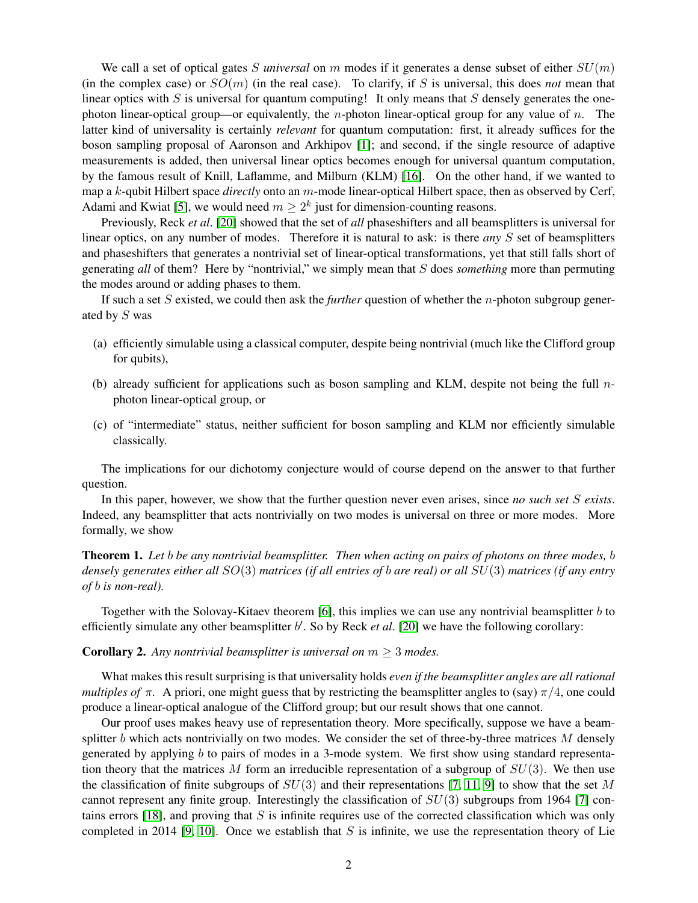We call a set of optical gates S *universal* on m modes if it generates a dense subset of either  $SU(m)$ (in the complex case) or  $SO(m)$  (in the real case). To clarify, if S is universal, this does *not* mean that linear optics with S is universal for quantum computing! It only means that S densely generates the onephoton linear-optical group—or equivalently, the *n*-photon linear-optical group for any value of *n*. The latter kind of universality is certainly *relevant* for quantum computation: first, it already suffices for the boson sampling proposal of Aaronson and Arkhipov [\[1\]](#page-2-0); and second, if the single resource of adaptive measurements is added, then universal linear optics becomes enough for universal quantum computation, by the famous result of Knill, Laflamme, and Milburn (KLM) [\[16\]](#page-3-8). On the other hand, if we wanted to map a k-qubit Hilbert space *directly* onto an m-mode linear-optical Hilbert space, then as observed by Cerf, Adami and Kwiat [\[5\]](#page-3-9), we would need  $m \geq 2^k$  just for dimension-counting reasons.

Previously, Reck *et al*. [\[20\]](#page-3-10) showed that the set of *all* phaseshifters and all beamsplitters is universal for linear optics, on any number of modes. Therefore it is natural to ask: is there *any* S set of beamsplitters and phaseshifters that generates a nontrivial set of linear-optical transformations, yet that still falls short of generating *all* of them? Here by "nontrivial," we simply mean that S does *something* more than permuting the modes around or adding phases to them.

If such a set S existed, we could then ask the *further* question of whether the n-photon subgroup generated by S was

- (a) efficiently simulable using a classical computer, despite being nontrivial (much like the Clifford group for qubits),
- (b) already sufficient for applications such as boson sampling and KLM, despite not being the full  $n$ photon linear-optical group, or
- (c) of "intermediate" status, neither sufficient for boson sampling and KLM nor efficiently simulable classically.

The implications for our dichotomy conjecture would of course depend on the answer to that further question.

In this paper, however, we show that the further question never even arises, since *no such set* S *exists*. Indeed, any beamsplitter that acts nontrivially on two modes is universal on three or more modes. More formally, we show

Theorem 1. *Let* b *be any nontrivial beamsplitter. Then when acting on pairs of photons on three modes,* b *densely generates either all* SO(3) *matrices (if all entries of* b *are real) or all* SU(3) *matrices (if any entry of* b *is non-real).*

Together with the Solovay-Kitaev theorem [\[6\]](#page-3-11), this implies we can use any nontrivial beamsplitter  $b$  to efficiently simulate any other beamsplitter b'. So by Reck et al. [\[20\]](#page-3-10) we have the following corollary:

**Corollary 2.** Any nontrivial beamsplitter is universal on  $m \geq 3$  modes.

What makes this result surprising is that universality holds *even if the beamsplitter angles are all rational multiples of*  $\pi$ . A priori, one might guess that by restricting the beamsplitter angles to (say)  $\pi/4$ , one could produce a linear-optical analogue of the Clifford group; but our result shows that one cannot.

Our proof uses makes heavy use of representation theory. More specifically, suppose we have a beamsplitter  $b$  which acts nontrivially on two modes. We consider the set of three-by-three matrices  $M$  densely generated by applying b to pairs of modes in a 3-mode system. We first show using standard representation theory that the matrices M form an irreducible representation of a subgroup of  $SU(3)$ . We then use the classification of finite subgroups of  $SU(3)$  and their representations [\[7,](#page-3-12) [11,](#page-3-13) [9\]](#page-3-14) to show that the set M cannot represent any finite group. Interestingly the classification of  $SU(3)$  subgroups from 1964 [\[7\]](#page-3-12) con-tains errors [\[18\]](#page-3-15), and proving that  $S$  is infinite requires use of the corrected classification which was only completed in 2014 [\[9,](#page-3-14) [10\]](#page-3-16). Once we establish that  $S$  is infinite, we use the representation theory of Lie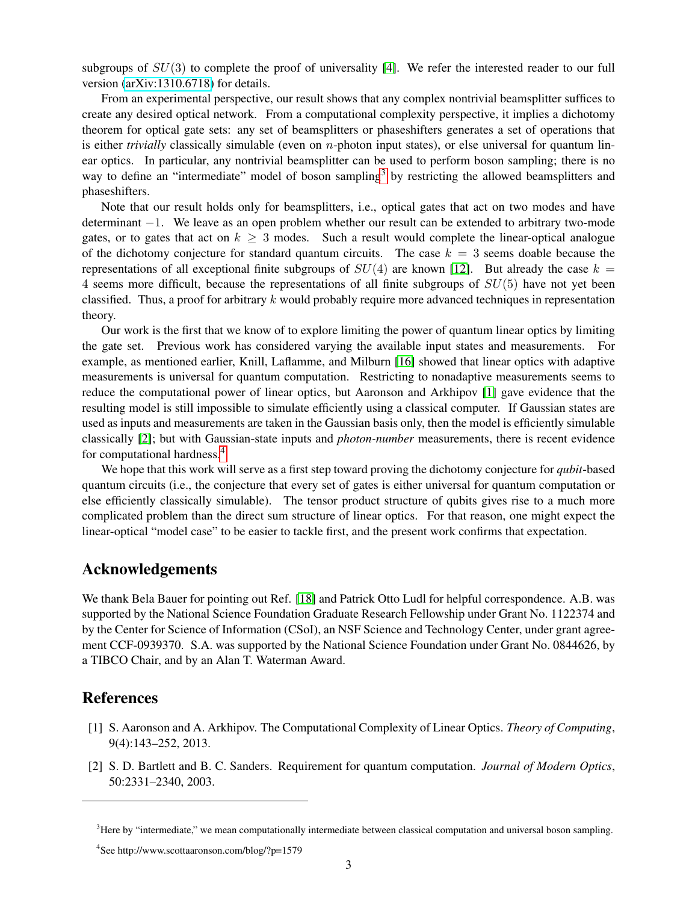subgroups of  $SU(3)$  to complete the proof of universality [\[4\]](#page-3-17). We refer the interested reader to our full version [\(arXiv:1310.6718\)](http://arxiv.org/abs/1310.6718) for details.

From an experimental perspective, our result shows that any complex nontrivial beamsplitter suffices to create any desired optical network. From a computational complexity perspective, it implies a dichotomy theorem for optical gate sets: any set of beamsplitters or phaseshifters generates a set of operations that is either *trivially* classically simulable (even on *n*-photon input states), or else universal for quantum linear optics. In particular, any nontrivial beamsplitter can be used to perform boson sampling; there is no way to define an "intermediate" model of boson sampling<sup>[3](#page-2-1)</sup> by restricting the allowed beamsplitters and phaseshifters.

Note that our result holds only for beamsplitters, i.e., optical gates that act on two modes and have determinant −1. We leave as an open problem whether our result can be extended to arbitrary two-mode gates, or to gates that act on  $k \geq 3$  modes. Such a result would complete the linear-optical analogue of the dichotomy conjecture for standard quantum circuits. The case  $k = 3$  seems doable because the representations of all exceptional finite subgroups of  $SU(4)$  are known [\[12\]](#page-3-18). But already the case  $k =$ 4 seems more difficult, because the representations of all finite subgroups of  $SU(5)$  have not yet been classified. Thus, a proof for arbitrary  $k$  would probably require more advanced techniques in representation theory.

Our work is the first that we know of to explore limiting the power of quantum linear optics by limiting the gate set. Previous work has considered varying the available input states and measurements. For example, as mentioned earlier, Knill, Laflamme, and Milburn [\[16\]](#page-3-8) showed that linear optics with adaptive measurements is universal for quantum computation. Restricting to nonadaptive measurements seems to reduce the computational power of linear optics, but Aaronson and Arkhipov [\[1\]](#page-2-0) gave evidence that the resulting model is still impossible to simulate efficiently using a classical computer. If Gaussian states are used as inputs and measurements are taken in the Gaussian basis only, then the model is efficiently simulable classically [\[2\]](#page-2-2); but with Gaussian-state inputs and *photon-number* measurements, there is recent evidence for computational hardness.[4](#page-2-3)

We hope that this work will serve as a first step toward proving the dichotomy conjecture for *qubit*-based quantum circuits (i.e., the conjecture that every set of gates is either universal for quantum computation or else efficiently classically simulable). The tensor product structure of qubits gives rise to a much more complicated problem than the direct sum structure of linear optics. For that reason, one might expect the linear-optical "model case" to be easier to tackle first, and the present work confirms that expectation.

## Acknowledgements

We thank Bela Bauer for pointing out Ref. [\[18\]](#page-3-15) and Patrick Otto Ludl for helpful correspondence. A.B. was supported by the National Science Foundation Graduate Research Fellowship under Grant No. 1122374 and by the Center for Science of Information (CSoI), an NSF Science and Technology Center, under grant agreement CCF-0939370. S.A. was supported by the National Science Foundation under Grant No. 0844626, by a TIBCO Chair, and by an Alan T. Waterman Award.

## References

- <span id="page-2-0"></span>[1] S. Aaronson and A. Arkhipov. The Computational Complexity of Linear Optics. *Theory of Computing*, 9(4):143–252, 2013.
- <span id="page-2-2"></span>[2] S. D. Bartlett and B. C. Sanders. Requirement for quantum computation. *Journal of Modern Optics*, 50:2331–2340, 2003.

<span id="page-2-1"></span><sup>&</sup>lt;sup>3</sup>Here by "intermediate," we mean computationally intermediate between classical computation and universal boson sampling.

<span id="page-2-3"></span><sup>4</sup> See http://www.scottaaronson.com/blog/?p=1579